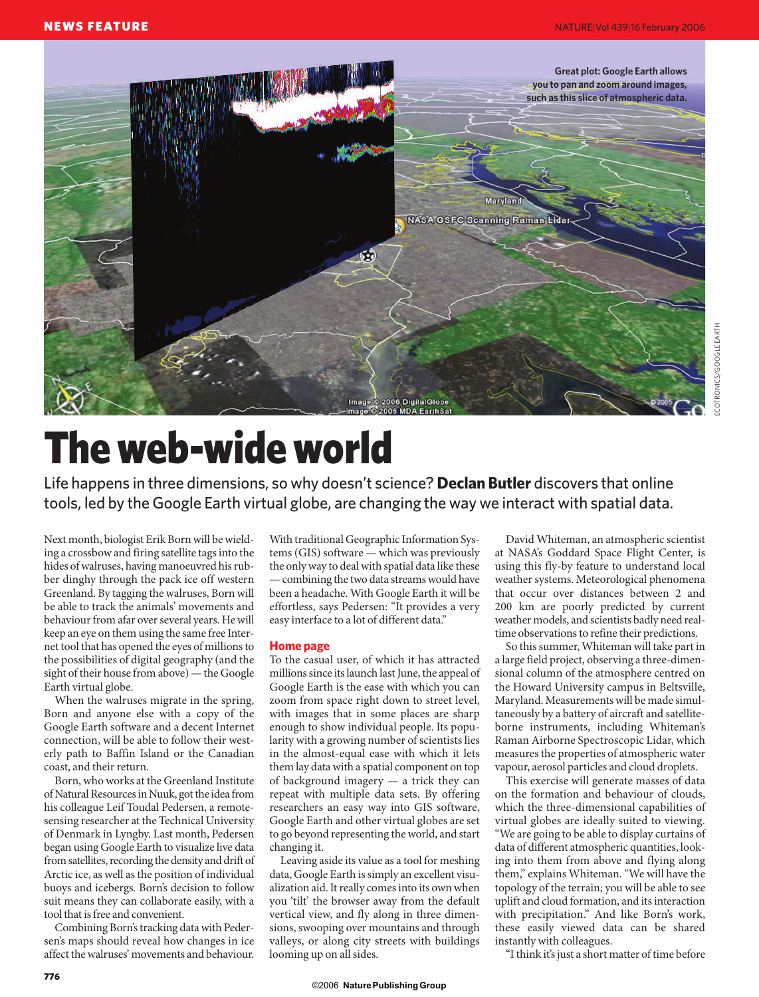

# The web-wide world

Life happens in three dimensions, so why doesn't science? **Declan Butler** discovers that online tools, led by the Google Earth virtual globe, are changing the way we interact with spatial data.

Next month, biologist Erik Born will be wielding a crossbow and firing satellite tags into the hides of walruses, having manoeuvred his rubber dinghy through the pack ice off western Greenland. By tagging the walruses, Born will be able to track the animals' movements and behaviour from afar over several years. He will keep an eye on them using the same free Internet tool that has opened the eyes of millions to the possibilities of digital geography (and the sight of their house from above) — the Google Earth virtual globe.

When the walruses migrate in the spring, Born and anyone else with a copy of the Google Earth software and a decent Internet connection, will be able to follow their westerly path to Baffin Island or the Canadian coast, and their return.

Born, who works at the Greenland Institute of Natural Resources in Nuuk, got the idea from his colleague Leif Toudal Pedersen, a remotesensing researcher at the Technical University of Denmark in Lyngby. Last month, Pedersen began using Google Earth to visualize live data from satellites, recording the density and drift of Arctic ice, as well as the position of individual buoys and icebergs. Born's decision to follow suit means they can collaborate easily, with a tool that is free and convenient.

Combining Born's tracking data with Pedersen's maps should reveal how changes in ice affect the walruses' movements and behaviour.

With traditional Geographic Information Systems (GIS) software — which was previously the only way to deal with spatial data like these — combining the two data streams would have been a headache. With Google Earth it will be effortless, says Pedersen: "It provides a very easy interface to a lot of different data."

### **Home page**

To the casual user, of which it has attracted millions since its launch last June, the appeal of Google Earth is the ease with which you can zoom from space right down to street level, with images that in some places are sharp enough to show individual people. Its popularity with a growing number of scientists lies in the almost-equal ease with which it lets them lay data with a spatial component on top of background imagery — a trick they can repeat with multiple data sets. By offering researchers an easy way into GIS software, Google Earth and other virtual globes are set to go beyond representing the world, and start changing it.

Leaving aside its value as a tool for meshing data, Google Earth is simply an excellent visualization aid. It really comes into its own when you 'tilt' the browser away from the default vertical view, and fly along in three dimensions, swooping over mountains and through valleys, or along city streets with buildings looming up on all sides.

David Whiteman, an atmospheric scientist at NASA's Goddard Space Flight Center, is using this fly-by feature to understand local weather systems. Meteorological phenomena that occur over distances between 2 and 200 km are poorly predicted by current weather models, and scientists badly need realtime observations to refine their predictions.

So this summer, Whiteman will take part in a large field project, observing a three-dimensional column of the atmosphere centred on the Howard University campus in Beltsville, Maryland. Measurements will be made simultaneously by a battery of aircraft and satelliteborne instruments, including Whiteman's Raman Airborne Spectroscopic Lidar, which measures the properties of atmospheric water vapour, aerosol particles and cloud droplets.

This exercise will generate masses of data on the formation and behaviour of clouds, which the three-dimensional capabilities of virtual globes are ideally suited to viewing. "We are going to be able to display curtains of data of different atmospheric quantities, looking into them from above and flying along them," explains Whiteman. "We will have the topology of the terrain; you will be able to see uplift and cloud formation, and its interaction with precipitation." And like Born's work, these easily viewed data can be shared instantly with colleagues.

"I think it's just a short matter of time before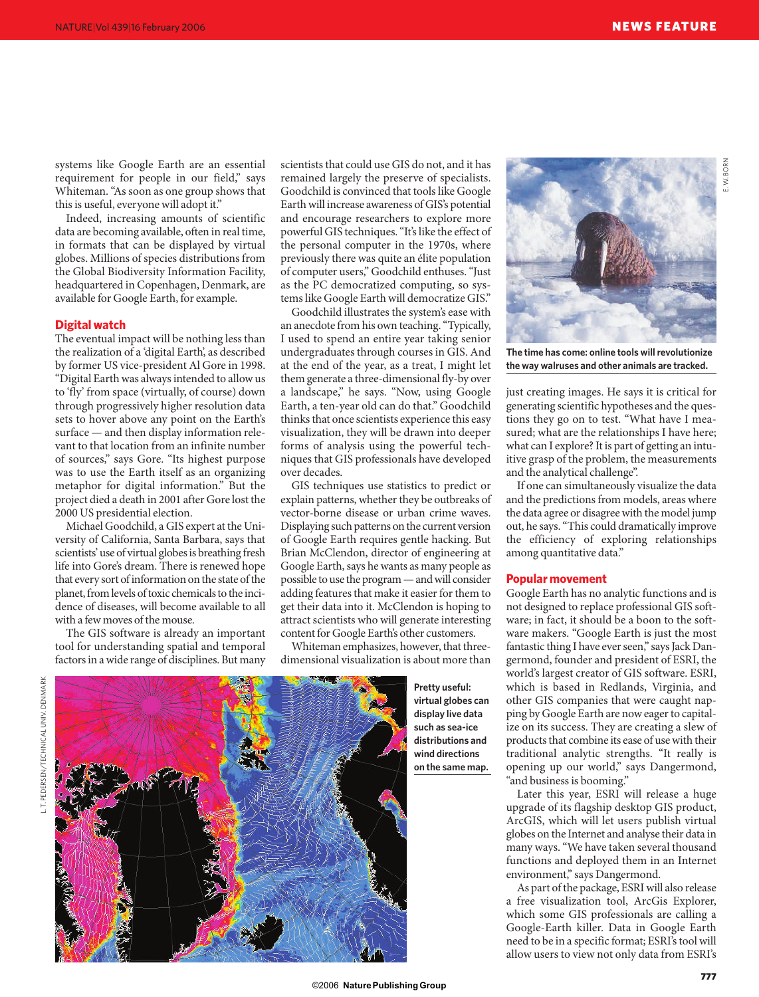systems like Google Earth are an essential requirement for people in our field," says Whiteman. "As soon as one group shows that this is useful, everyone will adopt it."

Indeed, increasing amounts of scientific data are becoming available, often in real time, in formats that can be displayed by virtual globes. Millions of species distributions from the Global Biodiversity Information Facility, headquartered in Copenhagen, Denmark, are available for Google Earth, for example.

#### **Digital watch**

The eventual impact will be nothing less than the realization of a 'digital Earth', as described by former US vice-president Al Gore in 1998. "Digital Earth was always intended to allow us to 'fly' from space (virtually, of course) down through progressively higher resolution data sets to hover above any point on the Earth's surface — and then display information relevant to that location from an infinite number of sources," says Gore. "Its highest purpose was to use the Earth itself as an organizing metaphor for digital information." But the project died a death in 2001 after Gore lost the 2000 US presidential election.

Michael Goodchild, a GIS expert at the University of California, Santa Barbara, says that scientists' use of virtual globes is breathing fresh life into Gore's dream. There is renewed hope that every sort of information on the state of the planet, from levels of toxic chemicals to the incidence of diseases, will become available to all with a few moves of the mouse.

The GIS software is already an important tool for understanding spatial and temporal factors in a wide range of disciplines. But many

scientists that could use GIS do not, and it has remained largely the preserve of specialists. Goodchild is convinced that tools like Google Earth will increase awareness of GIS's potential and encourage researchers to explore more powerful GIS techniques. "It's like the effect of the personal computer in the 1970s, where previously there was quite an élite population of computer users," Goodchild enthuses. "Just as the PC democratized computing, so systems like Google Earth will democratize GIS."

Goodchild illustrates the system's ease with an anecdote from his own teaching. "Typically, I used to spend an entire year taking senior undergraduates through courses in GIS. And at the end of the year, as a treat, I might let them generate a three-dimensional fly-by over a landscape," he says. "Now, using Google Earth, a ten-year old can do that." Goodchild thinks that once scientists experience this easy visualization, they will be drawn into deeper forms of analysis using the powerful techniques that GIS professionals have developed over decades.

GIS techniques use statistics to predict or explain patterns, whether they be outbreaks of vector-borne disease or urban crime waves. Displaying such patterns on the current version of Google Earth requires gentle hacking. But Brian McClendon, director of engineering at Google Earth, says he wants as many people as possible to use the program — and will consider adding features that make it easier for them to get their data into it. McClendon is hoping to attract scientists who will generate interesting content for Google Earth's other customers.

Whiteman emphasizes, however, that threedimensional visualization is about more than





**Pretty useful: virtual globes can display live data such as sea-ice distributions and wind directions on the same map.**



**The time has come: online tools will revolutionize the way walruses and other animals are tracked.**

just creating images. He says it is critical for generating scientific hypotheses and the questions they go on to test. "What have I measured; what are the relationships I have here; what can I explore? It is part of getting an intuitive grasp of the problem, the measurements and the analytical challenge".

If one can simultaneously visualize the data and the predictions from models, areas where the data agree or disagree with the model jump out, he says. "This could dramatically improve the efficiency of exploring relationships among quantitative data."

#### **Popular movement**

Google Earth has no analytic functions and is not designed to replace professional GIS software; in fact, it should be a boon to the software makers. "Google Earth is just the most fantastic thing I have ever seen," says Jack Dangermond, founder and president of ESRI, the world's largest creator of GIS software. ESRI, which is based in Redlands, Virginia, and other GIS companies that were caught napping by Google Earth are now eager to capitalize on its success. They are creating a slew of products that combine its ease of use with their traditional analytic strengths. "It really is opening up our world," says Dangermond, "and business is booming."

Later this year, ESRI will release a huge upgrade of its flagship desktop GIS product, ArcGIS, which will let users publish virtual globes on the Internet and analyse their data in many ways. "We have taken several thousand functions and deployed them in an Internet environment," says Dangermond.

As part of the package, ESRI will also release a free visualization tool, ArcGis Explorer, which some GIS professionals are calling a Google-Earth killer. Data in Google Earth need to be in a specific format; ESRI's tool will allow users to view not only data from ESRI's

E. W. BORN